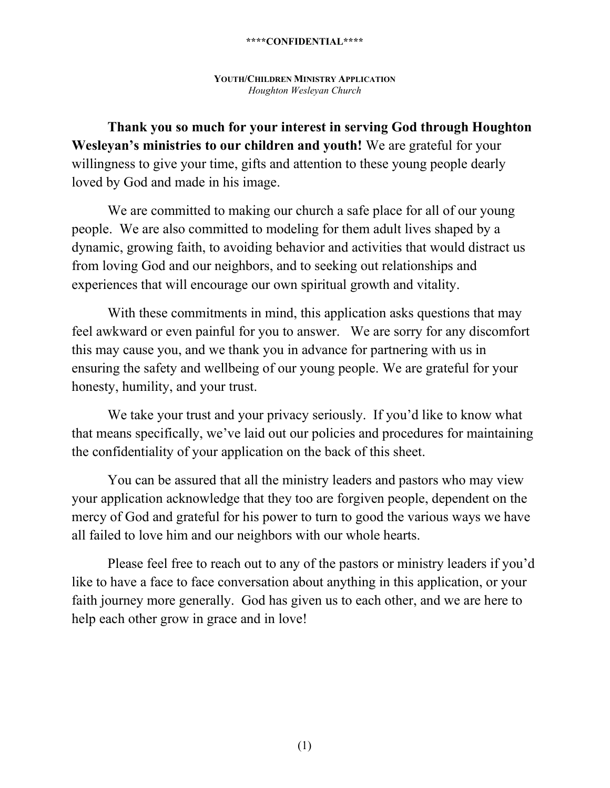# **YOUTH/CHILDREN MINISTRY APPLICATION** *Houghton Wesleyan Church*

**Thank you so much for your interest in serving God through Houghton Wesleyan's ministries to our children and youth!** We are grateful for your willingness to give your time, gifts and attention to these young people dearly loved by God and made in his image.

We are committed to making our church a safe place for all of our young people. We are also committed to modeling for them adult lives shaped by a dynamic, growing faith, to avoiding behavior and activities that would distract us from loving God and our neighbors, and to seeking out relationships and experiences that will encourage our own spiritual growth and vitality.

With these commitments in mind, this application asks questions that may feel awkward or even painful for you to answer. We are sorry for any discomfort this may cause you, and we thank you in advance for partnering with us in ensuring the safety and wellbeing of our young people. We are grateful for your honesty, humility, and your trust.

We take your trust and your privacy seriously. If you'd like to know what that means specifically, we've laid out our policies and procedures for maintaining the confidentiality of your application on the back of this sheet.

You can be assured that all the ministry leaders and pastors who may view your application acknowledge that they too are forgiven people, dependent on the mercy of God and grateful for his power to turn to good the various ways we have all failed to love him and our neighbors with our whole hearts.

Please feel free to reach out to any of the pastors or ministry leaders if you'd like to have a face to face conversation about anything in this application, or your faith journey more generally. God has given us to each other, and we are here to help each other grow in grace and in love!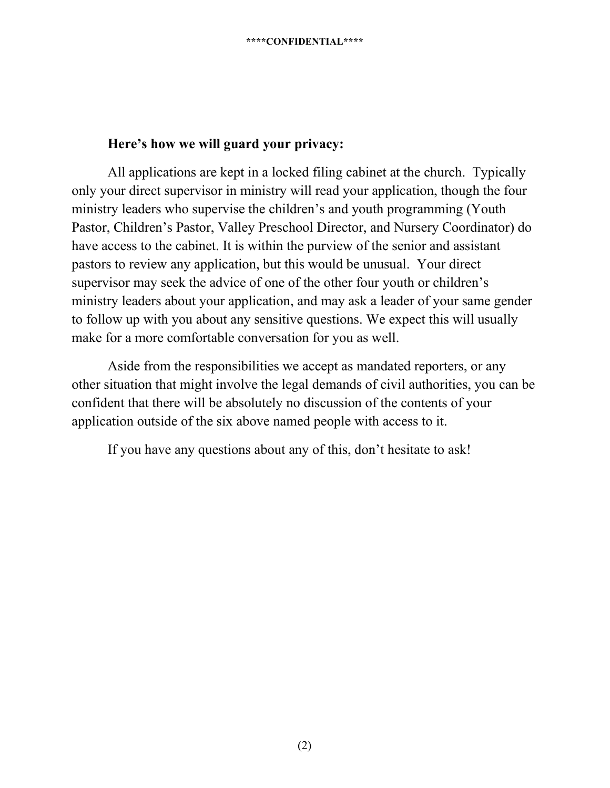# **Here's how we will guard your privacy:**

All applications are kept in a locked filing cabinet at the church. Typically only your direct supervisor in ministry will read your application, though the four ministry leaders who supervise the children's and youth programming (Youth Pastor, Children's Pastor, Valley Preschool Director, and Nursery Coordinator) do have access to the cabinet. It is within the purview of the senior and assistant pastors to review any application, but this would be unusual. Your direct supervisor may seek the advice of one of the other four youth or children's ministry leaders about your application, and may ask a leader of your same gender to follow up with you about any sensitive questions. We expect this will usually make for a more comfortable conversation for you as well.

Aside from the responsibilities we accept as mandated reporters, or any other situation that might involve the legal demands of civil authorities, you can be confident that there will be absolutely no discussion of the contents of your application outside of the six above named people with access to it.

If you have any questions about any of this, don't hesitate to ask!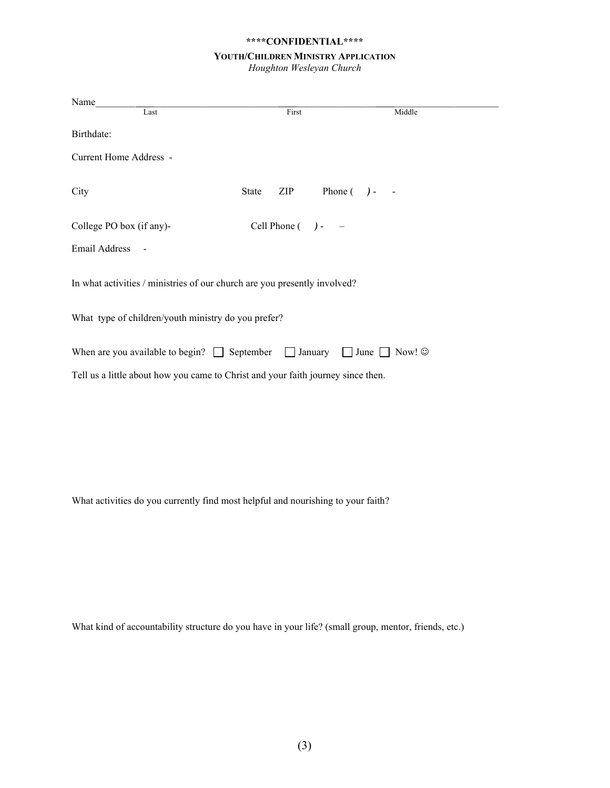#### **YOUTH/CHILDREN MINISTRY APPLICATION**

*Houghton Wesleyan Church*

| Name                                                                                                                                                                                    |              |                        |        |  |  |
|-----------------------------------------------------------------------------------------------------------------------------------------------------------------------------------------|--------------|------------------------|--------|--|--|
| Last                                                                                                                                                                                    |              | First                  | Middle |  |  |
| Birthdate:                                                                                                                                                                              |              |                        |        |  |  |
| Current Home Address -                                                                                                                                                                  |              |                        |        |  |  |
| City                                                                                                                                                                                    | <b>State</b> | Phone $( )$ -<br>ZIP   |        |  |  |
| College PO box (if any)-                                                                                                                                                                |              | Cell Phone $( )$ - $-$ |        |  |  |
| Email Address                                                                                                                                                                           |              |                        |        |  |  |
| In what activities / ministries of our church are you presently involved?                                                                                                               |              |                        |        |  |  |
| What type of children/youth ministry do you prefer?                                                                                                                                     |              |                        |        |  |  |
| When are you available to begin? $\Box$ September $\Box$ January<br>$\Box$ June $\Box$ Now! $\odot$<br>Tell us a little about how you came to Christ and your faith journey since then. |              |                        |        |  |  |
|                                                                                                                                                                                         |              |                        |        |  |  |

What activities do you currently find most helpful and nourishing to your faith?

What kind of accountability structure do you have in your life? (small group, mentor, friends, etc.)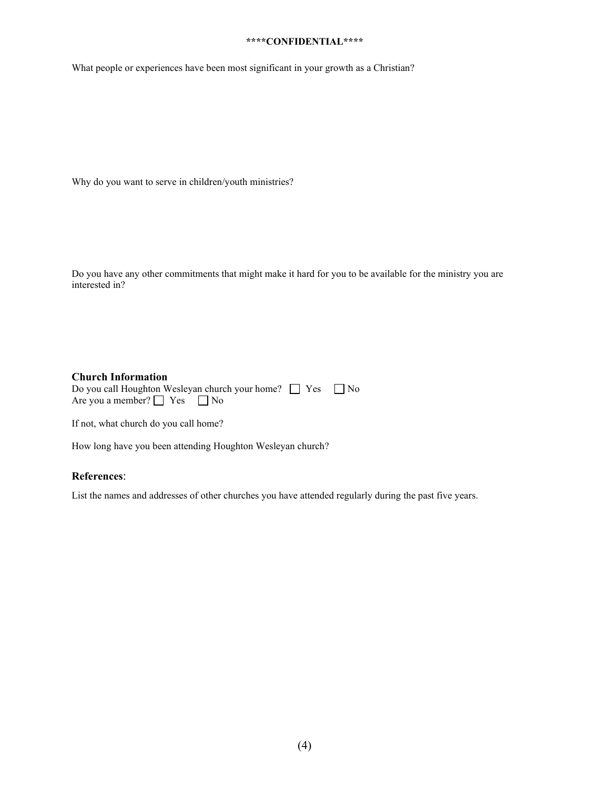What people or experiences have been most significant in your growth as a Christian?

Why do you want to serve in children/youth ministries?

Do you have any other commitments that might make it hard for you to be available for the ministry you are interested in?

### **Church Information**

| Do you call Houghton Wesleyan church your home?<br><u>No</u> Yes<br>No |  |  |
|------------------------------------------------------------------------|--|--|
| Are you a member? $\Box$ Yes $\Box$ No                                 |  |  |

If not, what church do you call home?

How long have you been attending Houghton Wesleyan church?

# **References**:

List the names and addresses of other churches you have attended regularly during the past five years.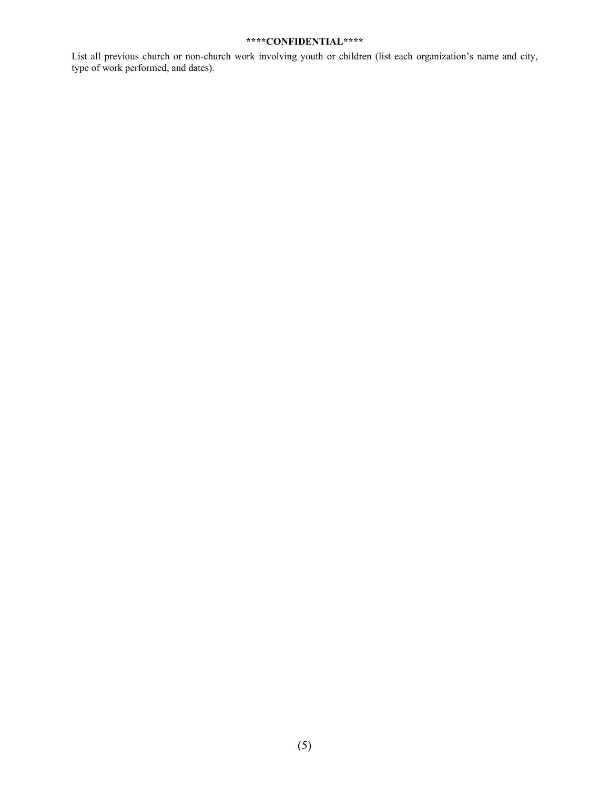List all previous church or non-church work involving youth or children (list each organization's name and city, type of work performed, and dates).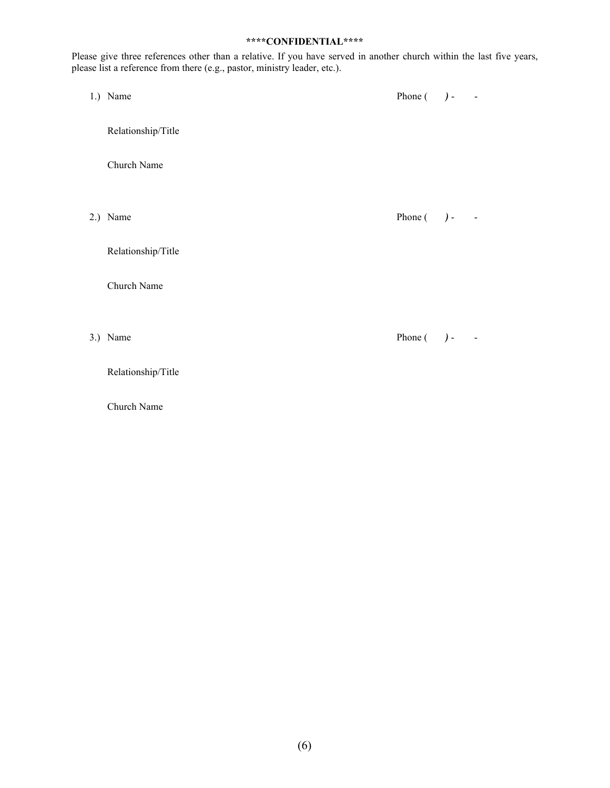Please give three references other than a relative. If you have served in another church within the last five years, please list a reference from there (e.g., pastor, ministry leader, etc.).

1.) Name Phone (  $)$  -

Relationship/Title

Church Name

2.) Name Phone (  $)$  -

Relationship/Title

Church Name

Relationship/Title

Church Name

3.) Name Phone ( *)* - -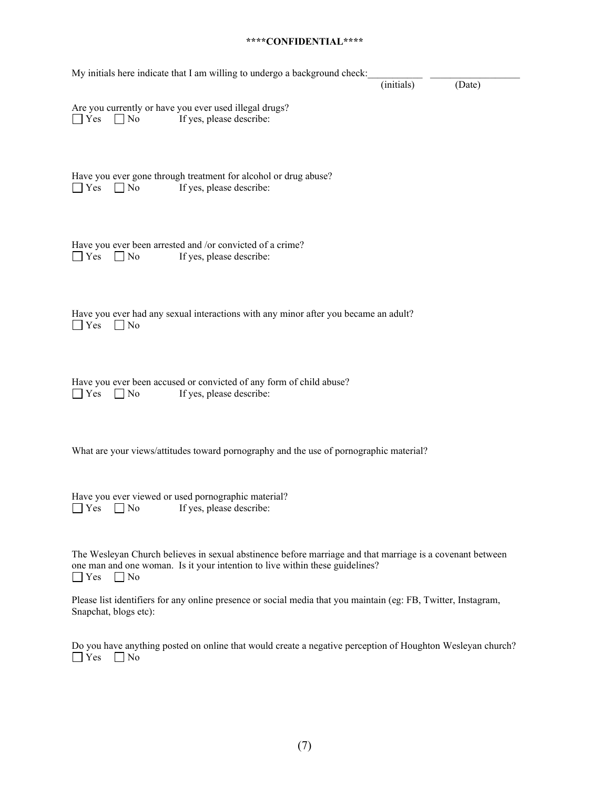| My initials here indicate that I am willing to undergo a background check:                                                                                                                                           |            |        |
|----------------------------------------------------------------------------------------------------------------------------------------------------------------------------------------------------------------------|------------|--------|
|                                                                                                                                                                                                                      | (initials) | (Date) |
| Are you currently or have you ever used illegal drugs?<br>$\blacksquare$ Yes<br>If yes, please describe:<br>$\Box$ No                                                                                                |            |        |
| Have you ever gone through treatment for alcohol or drug abuse?<br>Yes<br>$\Box$ No<br>If yes, please describe:                                                                                                      |            |        |
| Have you ever been arrested and /or convicted of a crime?<br>Yes<br>If yes, please describe:<br>$\Box$ No                                                                                                            |            |        |
| Have you ever had any sexual interactions with any minor after you became an adult?<br>Yes<br>$\Box$ No                                                                                                              |            |        |
| Have you ever been accused or convicted of any form of child abuse?<br>Yes<br>If yes, please describe:<br>∣ No                                                                                                       |            |        |
| What are your views/attitudes toward pornography and the use of pornographic material?                                                                                                                               |            |        |
| Have you ever viewed or used pornographic material?<br>$\Box$ Yes $\Box$ No If yes, please describe:                                                                                                                 |            |        |
| The Wesleyan Church believes in sexual abstinence before marriage and that marriage is a covenant between<br>one man and one woman. Is it your intention to live within these guidelines?<br><b>Yes</b><br>$\Box$ No |            |        |
| Please list identifiers for any online presence or social media that you maintain (eg: FB, Twitter, Instagram,<br>Snapchat, blogs etc):                                                                              |            |        |

Do you have anything posted on online that would create a negative perception of Houghton Wesleyan church? Yes No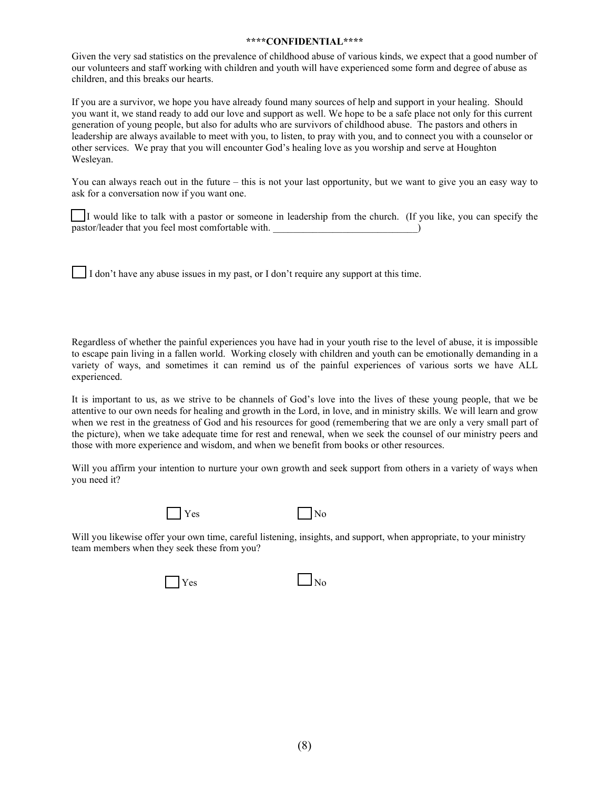Given the very sad statistics on the prevalence of childhood abuse of various kinds, we expect that a good number of our volunteers and staff working with children and youth will have experienced some form and degree of abuse as children, and this breaks our hearts.

If you are a survivor, we hope you have already found many sources of help and support in your healing. Should you want it, we stand ready to add our love and support as well. We hope to be a safe place not only for this current generation of young people, but also for adults who are survivors of childhood abuse. The pastors and others in leadership are always available to meet with you, to listen, to pray with you, and to connect you with a counselor or other services. We pray that you will encounter God's healing love as you worship and serve at Houghton Wesleyan.

You can always reach out in the future – this is not your last opportunity, but we want to give you an easy way to ask for a conversation now if you want one.

 $\prod$ I would like to talk with a pastor or someone in leadership from the church. (If you like, you can specify the pastor/leader that you feel most comfortable with.

I don't have any abuse issues in my past, or I don't require any support at this time.

Regardless of whether the painful experiences you have had in your youth rise to the level of abuse, it is impossible to escape pain living in a fallen world. Working closely with children and youth can be emotionally demanding in a variety of ways, and sometimes it can remind us of the painful experiences of various sorts we have ALL experienced.

It is important to us, as we strive to be channels of God's love into the lives of these young people, that we be attentive to our own needs for healing and growth in the Lord, in love, and in ministry skills. We will learn and grow when we rest in the greatness of God and his resources for good (remembering that we are only a very small part of the picture), when we take adequate time for rest and renewal, when we seek the counsel of our ministry peers and those with more experience and wisdom, and when we benefit from books or other resources.

Will you affirm your intention to nurture your own growth and seek support from others in a variety of ways when you need it?



 $Yes$   $| No$ 

Will you likewise offer your own time, careful listening, insights, and support, when appropriate, to your ministry team members when they seek these from you?